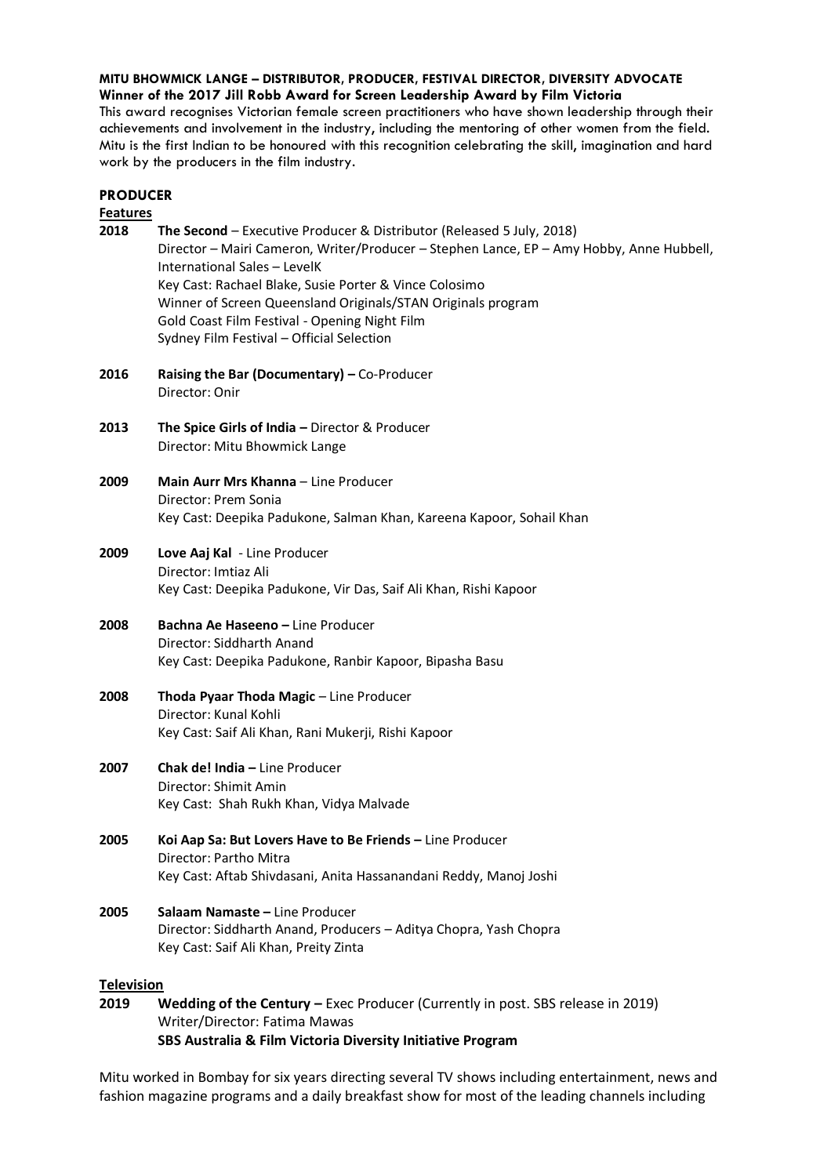**MITU BHOWMICK LANGE – DISTRIBUTOR, PRODUCER, FESTIVAL DIRECTOR, DIVERSITY ADVOCATE Winner of the 2017 Jill Robb Award for Screen Leadership Award by Film Victoria**

**PRODUCER**

This award recognises Victorian female screen practitioners who have shown leadership through their achievements and involvement in the industry, including the mentoring of other women from the field. Mitu is the first Indian to be honoured with this recognition celebrating the skill, imagination and hard work by the producers in the film industry.

| <b>Features</b>   |                                                                                                                                                                                                                                                                                                                                                                                                                           |
|-------------------|---------------------------------------------------------------------------------------------------------------------------------------------------------------------------------------------------------------------------------------------------------------------------------------------------------------------------------------------------------------------------------------------------------------------------|
| 2018              | The Second - Executive Producer & Distributor (Released 5 July, 2018)<br>Director - Mairi Cameron, Writer/Producer - Stephen Lance, EP - Amy Hobby, Anne Hubbell,<br>International Sales - LevelK<br>Key Cast: Rachael Blake, Susie Porter & Vince Colosimo<br>Winner of Screen Queensland Originals/STAN Originals program<br>Gold Coast Film Festival - Opening Night Film<br>Sydney Film Festival - Official Selection |
| 2016              | Raising the Bar (Documentary) - Co-Producer<br>Director: Onir                                                                                                                                                                                                                                                                                                                                                             |
| 2013              | The Spice Girls of India - Director & Producer<br>Director: Mitu Bhowmick Lange                                                                                                                                                                                                                                                                                                                                           |
| 2009              | Main Aurr Mrs Khanna - Line Producer<br>Director: Prem Sonia<br>Key Cast: Deepika Padukone, Salman Khan, Kareena Kapoor, Sohail Khan                                                                                                                                                                                                                                                                                      |
| 2009              | Love Aaj Kal - Line Producer<br>Director: Imtiaz Ali<br>Key Cast: Deepika Padukone, Vir Das, Saif Ali Khan, Rishi Kapoor                                                                                                                                                                                                                                                                                                  |
| 2008              | <b>Bachna Ae Haseeno - Line Producer</b><br>Director: Siddharth Anand<br>Key Cast: Deepika Padukone, Ranbir Kapoor, Bipasha Basu                                                                                                                                                                                                                                                                                          |
| 2008              | Thoda Pyaar Thoda Magic - Line Producer<br>Director: Kunal Kohli<br>Key Cast: Saif Ali Khan, Rani Mukerji, Rishi Kapoor                                                                                                                                                                                                                                                                                                   |
| 2007              | Chak de! India - Line Producer<br>Director: Shimit Amin<br>Key Cast: Shah Rukh Khan, Vidya Malvade                                                                                                                                                                                                                                                                                                                        |
| 2005              | Koi Aap Sa: But Lovers Have to Be Friends - Line Producer<br>Director: Partho Mitra<br>Key Cast: Aftab Shivdasani, Anita Hassanandani Reddy, Manoj Joshi                                                                                                                                                                                                                                                                  |
| 2005              | Salaam Namaste - Line Producer<br>Director: Siddharth Anand, Producers - Aditya Chopra, Yash Chopra<br>Key Cast: Saif Ali Khan, Preity Zinta                                                                                                                                                                                                                                                                              |
| <b>Television</b> |                                                                                                                                                                                                                                                                                                                                                                                                                           |
|                   |                                                                                                                                                                                                                                                                                                                                                                                                                           |

**2019 Wedding of the Century –** Exec Producer (Currently in post. SBS release in 2019) Writer/Director: Fatima Mawas **SBS Australia & Film Victoria Diversity Initiative Program**

Mitu worked in Bombay for six years directing several TV shows including entertainment, news and fashion magazine programs and a daily breakfast show for most of the leading channels including